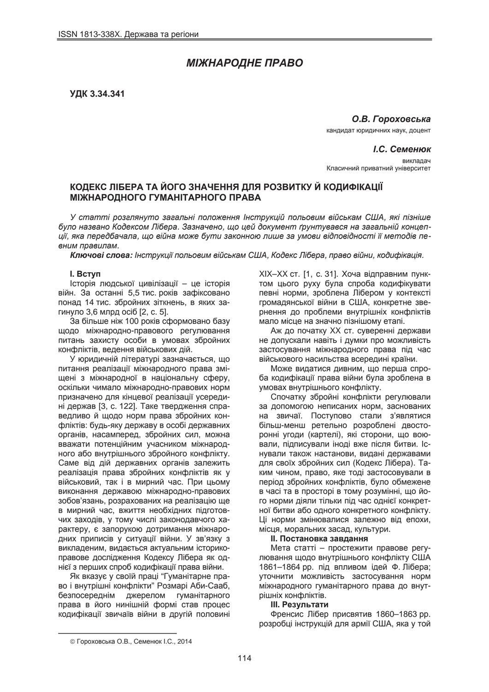# *ɆȱɀɇȺɊɈȾɇȿ ɉɊȺȼɈ*

**ɍȾɄ 3.34.341**

**О.В. Гороховська** кандидат юридичних наук, доцент

 $I.C.$  Семенюк **BIAKOSO** Класичний приватний університет

## **ɄɈȾȿɄɋ ɅȱȻȿɊȺ ɌȺ ɃɈȽɈ ɁɇȺɑȿɇɇə ȾɅə ɊɈɁȼɂɌɄɍ Ƀ ɄɈȾɂɎȱɄȺɐȱȲ ɆȱɀɇȺɊɈȾɇɈȽɈ ȽɍɆȺɇȱɌȺɊɇɈȽɈ ɉɊȺȼȺ**

У статті розглянуто загальні положення Інструкцій польовим військам США, які пізніше  $6$ уло названо Кодексом Лібера. Зазначено, що цей документ ґрунтувався на загальній концеп $y$ иї, яка передбачала, що війна може бути законною лише за умови відповідності її методів пе- $B$  *вним правилам.* 

*Ʉɥɸɱɨɜɿ ɫɥɨɜɚ: ȱɧɫɬɪɭɤɰɿʀ ɩɨɥɶɨɜɢɦ ɜɿɣɫɶɤɚɦ ɋɒȺ, Ʉɨɞɟɤɫ Ʌɿɛɟɪɚ, ɩɪɚɜɨ ɜɿɣɧɢ, ɤɨɞɢɮɿɤɚɰɿɹ.*

### **l.** BCTVN

Історія людської цивілізації – це історія війн. За останні 5,5 тис. років зафіксовано понад 14 тис. збройних зіткнень, в яких загинуло 3,6 млрд осіб [2, с. 5].

За більше ніж 100 років сформовано базу щодо міжнародно-правового регулювання питань захисту особи в умовах збройних конфліктів, ведення військових дій.

У юридичній літературі зазначається, що питання реалізації міжнародного права зміщені з міжнародної в національну сферу, оскільки чимало міжнародно-правових норм призначено для кінцевої реалізації усередині держав [3, с. 122]. Таке твердження справедливо й щодо норм права збройних конфліктів: будь-яку державу в особі державних органів, насамперед, збройних сил, можна вважати потенційним учасником міжнародного або внутрішнього збройного конфлікту. Саме від дій державних органів залежить реалізація права збройних конфліктів як у військовий, так і в мирний час. При цьому виконання державою міжнародно-правових зобов'язань, розрахованих на реалізацію ше в мирний час, вжиття необхідних підготовчих заходів, у тому числі законодавчого характеру, є запорукою дотримання міжнародних приписів у ситуації війни. У зв'язку з викладеним, видається актуальним історикоправове дослідження Кодексу Лібера як однієї з перших спроб кодифікації права війни.

Як вказує у своїй праці "Гуманітарне право і внутрішні конфлікти" Розмарі Аби-Сааб, безпосереднім джерелом гуманітарного права в його нинішній формі став процес кодифікації звичаїв війни в другій половині XIX-XX ст. [1, с. 31]. Хоча відправним пунктом цього руху була спроба кодифікувати певні норми, зроблена Лібером у контексті громадянської війни в США, конкретне звернення до проблеми внутрішніх конфліктів мало місце на значно пізнішому етапі.

Аж до початку XX ст. суверенні держави не допускали навіть і думки про можливість застосування міжнародного права під час військового насильства всередині країни.

Може видатися дивним, що перша спроба кодифікації права війни була зроблена в умовах внутрішнього конфлікту.

Спочатку збройні конфлікти регулювали за допомогою неписаних норм, заснованих на звичаї. Поступово стали з'являтися більш-менш ретельно розроблені двосторонні угоди (картелі), які сторони, що воювали, підписували іноді вже після битви. Існували також настанови, видані державами для своїх збройних сил (Кодекс Лібера). Таким чином, право, яке тоді застосовували в період збройних конфліктів, було обмежене в часі та в просторі в тому розумінні, що його норми діяли тільки під час однієї конкретної битви або одного конкретного конфлікту. Ці норми змінювалися залежно від епохи, місця, моральних засад, культури.

#### $II.$  Постановка завдання

Мета статті – простежити правове регулювання щодо внутрішнього конфлікту США 1861–1864 рр. під впливом ідей Ф. Лібера; уточнити можливість застосування норм міжнародного гуманітарного права до внутрішніх конфліктів.

#### **Ш.** Результати

Френсис Лібер присвятив 1860–1863 рр. розробці інструкцій для армії США, яка у той

 $\overline{a}$ 

<sup>©</sup> Гороховська О.В., Семенюк І.С., 2014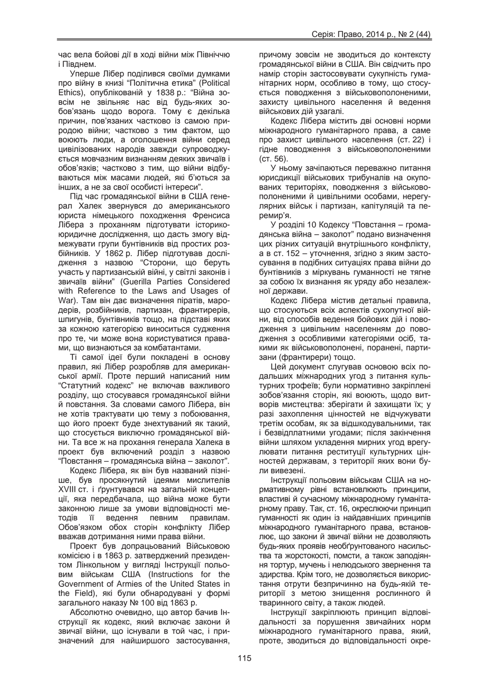час вела бойові дії в ході війни між Північчю і Півднем.

Уперше Лібер поділився своїми думками про війну в книзі "Політична етика" (Political Ethics), опублікованій у 1838 р.: "Війна зовсім не звільняє нас від будь-яких зобов'язань щодо ворога. Тому є декілька причин, пов'язаних частково із самою природою війни; частково з тим фактом, що воюють люди, а оголошення війни серед цивілізованих народів завжди супроводжується мовчазним визнанням деяких звичаїв і обов'язків; частково з тим, що війни відбуваються між масами людей, які б'ються за інших, а не за свої особисті інтереси".

Під час громадянської війни в США генерал Халек звернувся до американського юриста німецького походження Френсиса Лібера з проханням підготувати історикоюридичне дослідження, що дасть змогу відмежувати групи бунтівників від простих розбійників. У 1862 р. Лібер підготував дослідження з назвою "Сторони, що беруть участь у партизанській війні, у світлі законів і звичаїв війни" (Guerilla Parties Considered with Reference to the Laws and Usages of War). Там він дає визначення піратів, мародерів, розбійників, партизан, франтирерів, шпигунів, бунтівників тощо, на підставі яких за кожною категорією виноситься судження про те, чи може вона користуватися правами, що визнаються за комбатантами.

Ті самої ідеї були покладені в основу правил, які Лібер розробляв для американської армії. Проте перший написаний ним "Статутний кодекс" не включав важливого розділу, що стосувався громадянської війни й повстання. За словами самого Лібера, він не хотів трактувати цю тему з побоювання, що його проект буде знехтуваний як такий, що стосується виключно громадянської війни. Та все ж на прохання генерала Халека в проект був включений розділ з назвою "Повстання – громадянська війна – заколот".

Кодекс Лібера, як він був названий пізніше, був просякнутий ідеями мислителів XVIII ст. і ґрунтувався на загальній концепції, яка передбачала, що війна може бути законною лише за умови відповідності методів її ведення певним правилам. Обов'язком обох сторін конфлікту Лібер вважав дотримання ними права війни.

Проект був допрацьований Військовою комісією і в 1863 р. затверджений президентом Лінкольном у вигляді Інструкції польовим військам США (Instructions for the Government of Armies of the United States in the Field), які були обнародувані у формі загального наказу № 100 від 1863 р.

Абсолютно очевидно, що автор бачив Інструкції як кодекс, який включає закони й звичаї війни, що існували в той час, і призначений для найширшого застосування, причому зовсім не зводиться до контексту громадянської війни в США. Він свідчить про намір сторін застосовувати сукупність гуманітарних норм, особливо в тому, що стосується поводження з військовополоненими, захисту цивільного населення й ведення військових дій узагалі.

Кодекс Лібера містить дві основні норми міжнародного гуманітарного права, а саме про захист цивільного населення (ст. 22) і гідне поводження з військовополоненими  $(CT. 56)$ .

У ньому зачіпаються переважно питання юрисдикції військових трибуналів на окупованих територіях, поводження з військовополоненими й цивільними особами, нерегулярних військ і партизан, капітуляцій та перемир'я.

У розділі 10 Кодексу "Повстання – громадянська війна – заколот" подано визначення цих різних ситуацій внутрішнього конфлікту, а в ст. 152 – уточнення, згідно з яким застосування в подібних ситуаціях права війни до бунтівників з міркувань гуманності не тягне за собою їх визнання як уряду або незалежної держави.

Кодекс Лібера містив детальні правила, що стосуються всіх аспектів сухопутної війни, від способів ведення бойових дій і поводження з цивільним населенням до поводження з особливими категоріями осіб. такими як військовополонені, поранені, партизани (франтирери) тощо.

Цей документ слугував основою всіх подальших міжнародних угод з питання культурних трофеїв; були нормативно закріплені зобов'язання сторін, які воюють, шодо витворів мистецтва: зберігати й захищати їх; у разі захоплення цінностей не відчужувати третім особам, як за відшкодувальними, так і безвідплатними угодами; після закінчення війни шляхом укладення мирних угод врегулювати питання реституції культурних цінностей державам, з території яких вони були вивезені.

Інструкції польовим військам США на нормативному рівні встановлюють принципи, властиві й сучасному міжнародному гуманітарному праву. Так, ст. 16, окреслюючи принцип гуманності як один із найдавніших принципів міжнародного гуманітарного права, встановлює, що закони й звичаї війни не дозволяють будь-яких проявів необґрунтованого насильства та жорстокості, помсти, а також заподіяння тортур, мучень і нелюдського звернення та здирства. Крім того, не дозволяється використання отрути безпричинно на будь-якій території з метою знищення рослинного й тваринного світу, а також людей.

Інструкції закріплюють принцип відповідальності за порушення звичайних норм міжнародного гуманітарного права, який, проте, зводиться до відповідальності окре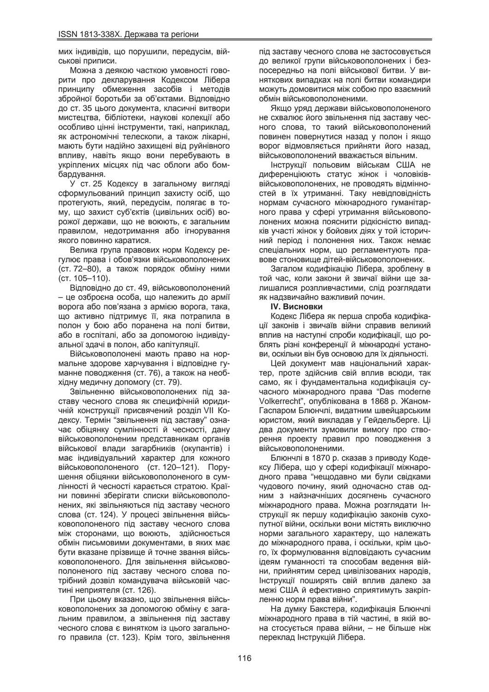мих індивідів, що порушили, передусім, військові приписи.

Можна з деякою часткою умовності говорити про декларування Кодексом Лібера принципу обмеження засобів і методів збройної боротьби за об'єктами. Відповідно до ст. 35 цього документа, класичні витвори мистецтва, бібліотеки, наукові колекції або особливо цінні інструменти, такі, наприклад, як астрономічні телескопи, а також лікарні, мають бути надійно захищені від руйнівного впливу, навіть якщо вони перебувають в укріплених місцях під час облоги або бомбардування.

У ст. 25 Кодексу в загальному вигляді сформульований принцип захисту осіб, що протегують, який, передусім, полягає в тому, що захист суб'єктів (цивільних осіб) ворожої держави, що не воюють, є загальним правилом, недотримання або ігнорування якого повинно каратися.

Велика група правових норм Кодексу регулює права і обов'язки військовополонених (ст. 72–80), а також порядок обміну ними  $(CT. 105–110).$ 

Відповідно до ст. 49, військовополонений – це озброєна особа, що належить до армії ворога або пов'язана з армією ворога, така, що активно підтримує її, яка потрапила в полон у бою або поранена на полі битви, або в госпіталі, або за допомогою індивідуальної здачі в полон, або капітуляції.

Військовополонені мають право на нормальне здорове харчування і відповідне гуманне поводження (ст. 76), а також на необхідну медичну допомогу (ст. 79).

Звільненню військовополонених під заставу чесного слова як специфічній юриди-ЧНІЙ КОНСТРУКЦІЇ ПРИСВЯЧЕНИЙ РОЗДІЛ VII КОдексу. Термін "звільнення під заставу" означає обіцянку сумлінності й чесності, дану військовополоненим представникам органів військової влади загарбників (окупантів) і має індивідуальний характер для кожного військовополоненого (ст. 120–121). Порушення обіцянки військовополоненого в сумлінності й чесності карається стратою. Країни повинні зберігати списки військовополонених, які звільняються під заставу чесного слова (ст. 124). У процесі звільнення військовополоненого під заставу чесного слова між сторонами, що воюють, здійснюється обмін письмовими документами, в яких має бути вказане прізвище й точне звання військовополоненого. Для звільнення військовополоненого під заставу чесного слова потрібний дозвіл командувача військовій частині неприятеля (ст. 126).

При цьому вказано, що звільнення військовополонених за допомогою обміну є загальним правилом, а звільнення під заставу чесного слова є винятком із цього загального правила (ст. 123). Крім того, звільнення

під заставу чесного слова не застосовується до великої групи військовополонених і безпосередньо на полі військової битви. У виняткових випадках на полі битви командири можуть домовитися між собою про взаємний обмін військовополоненими.

Якщо уряд держави військовополоненого не схвалює його звільнення під заставу чесного слова, то такий військовополонений повинен повернутися назад у полон і якщо ворог відмовляється прийняти його назад, військовополонений вважається вільним.

Інструкції польовим військам США не диференціюють статус жінок і чоловіківвійськовополонених, не проводять відмінностей в їх утриманні. Таку невідповідність нормам сучасного міжнародного гуманітарного права у сфері утримання військовополонених можна пояснити рідкісністю випадків участі жінок у бойових діях у той історичний період і полонення них. Також немає спеціальних норм, що регламентують правове стоновише дітей-військовополонених.

Загалом кодифікацію Лібера, зроблену в той час, коли закони й звичаї війни ще залишалися розпливчастими, слід розглядати як надзвичайно важливий почин.

### **IV. Висновки**

Кодекс Лібера як перша спроба кодифікації законів і звичаїв війни справив великий вплив на наступні спроби кодифікації, що роблять різні конференції й міжнародні установи, оскільки він був основою для їх діяльності.

Цей документ мав національний характер, проте здійснив свій вплив всюди, так само, як і фундаментальна кодифікація сучасного міжнародного права "Das moderne Volkerrecht", опублікована в 1868 р. Жаном-Гаспаром Блюнчлі, видатним швейцарським юристом, який викладав у Гейдельберге. Ці два документи зумовили вимогу про створення проекту правил про поводження з військовополоненими.

Блюнчлі в 1870 р. сказав з приводу Кодексу Лібера, що у сфері кодифікації міжнародного права "нещодавно ми були свідками чудового почину, який одночасно став одним з найзначніших досягнень сучасного міжнародного права. Можна розглядати Інструкції як першу кодифікацію законів сухопутної війни, оскільки вони містять виключно норми загального характеру, що належать до міжнародного права, і оскільки, крім цього, їх формулювання відповідають сучасним ідеям гуманності та способам ведення війни, прийнятим серед цивілізованих народів, Інструкції поширять свій вплив далеко за межі США й ефективно сприятимуть закріпленню норм права війни".

На думку Бакстера, кодифікація Блюнчлі міжнародного права в тій частині, в якій вона стосується права війни, – не більше ніж переклад Інструкцій Лібера.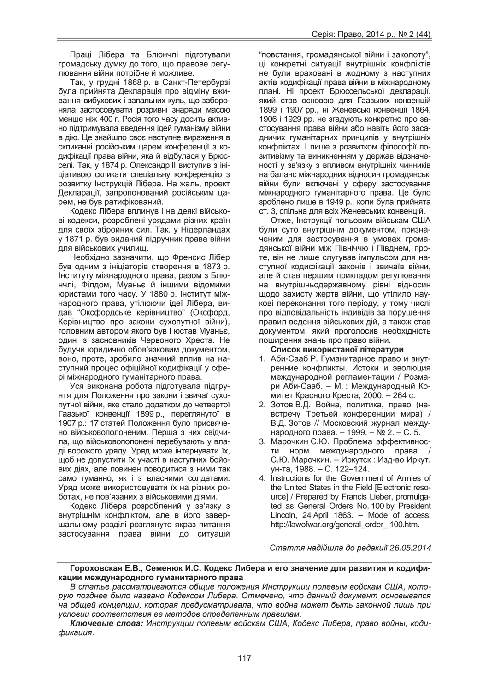Праці Лібера та Блюнчлі підготували громадську думку до того, що правове регулювання війни потрібне й можливе.

Так, у грудні 1868 р. в Санкт-Петербурзі була прийнята Декларація про відміну вживання вибухових і запальних куль, що забороняла застосовувати розривні знаряди масою менше ніж 400 г. Росія того часу досить активно підтримувала введення ідей гуманізму війни в дію. Це знайшло своє наступне вираження в скликанні російським царем конференції з кодифікації права війни, яка й відбулася у Брюсселі. Так, у 1874 р. Олександр II виступив з ініціативою скликати спеціальну конференцію з розвитку Інструкцій Лібера. На жаль, проект Декларації, запропонований російським царем, не був ратифікований.

Кодекс Лібера вплинув і на деякі військові кодекси, розроблені урядами різних країн для своїх збройних сил. Так, у Нідерландах у 1871 р. був виданий підручник права війни для військових училищ.

Необхідно зазначити, що Френсис Лібер був одним з ініціаторів створення в 1873 р. Інституту міжнародного права, разом з Блюнчлі, Філдом, Муаньє й іншими відомими юристами того часу. У 1880 р. Інститут міжнародного права, утілюючи ідеї Лібера, видав "Оксфордське керівництво" (Оксфорд, Керівництво про закони сухопутної війни), головним автором якого був Гюстав Муаньє, один із засновників Червоного Хреста. Не будучи юридично обов'язковим документом, воно, проте, зробило значний вплив на наступний процес офіційної кодифікації у сфері міжнародного гуманітарного права.

Уся виконана робота підготувала підґрунтя для Положення про закони і звичаї сухопутної війни, яке стало додатком до четвертої Гаазької конвенції 1899 p., переглянутої в 1907 р.: 17 статей Положення було присвячено військовополоненим. Перша з них свідчила, що військовополонені перебувають у владі ворожого уряду. Уряд може інтернувати їх, щоб не допустити їх участі в наступних бойових діях, але повинен поводитися з ними так само гуманно, як і з власними солдатами. Уряд може використовувати їх на різних роботах, не пов'язаних з військовими діями.

Кодекс Лібера розроблений у зв'язку з внутрішнім конфліктом, але в його завершальному розділі розглянуто якраз питання застосування права війни до ситуацій

"повстання, громадянської війни і заколоту", ці конкретні ситуації внутрішніх конфліктів не були враховані в жодному з наступних актів кодифікації права війни в міжнародному плані. Ні проект Брюссельської декларації, який став основою для Гаазьких конвенцій 1899 i 1907 pp., ні Женевські конвенції 1864, 1906 і 1929 рр. не згадують конкретно про застосування права війни або навіть його засадничих гуманітарних принципів у внутрішніх конфліктах. І лише з розвитком філософії позитивізму та виникненням у держав відзначеності у зв'язку з впливом внутрішніх чинників на баланс міжнародних відносин громадянські війни були включені у сферу застосування міжнародного гуманітарного права. Це було зроблено лише в 1949 р., коли була прийнята ст. 3, спільна для всіх Женевських конвенцій.

Отже, Інструкції польовим військам США були суто внутрішнім документом, призначеним для застосування в умовах громадянської війни між Північчю і Півднем, проте, він не лише слугував імпульсом для наступної кодифікації законів і звичаїв війни, але й став першим прикладом регулювання на внутрішньодержавному рівні відносин щодо захисту жертв війни, що утілило наукові переконання того періоду, у тому числі про відповідальність індивідів за порушення правил ведення військових дій, а також став документом, який проголосив необхідність поширення знань про право війни.

#### Список використаної літератури

- 1. Аби-Сааб Р. Гуманитарное право и внутренние конфликты. Истоки и эволюция международной регламентации / Розмари Аби-Сааб. – М.: Международный Комитет Красного Креста, 2000. – 264 с.
- 2. Зотов В.Д. Война, политика, право (навстречу Третьей конференции мира) / В.Д. Зотов // Московский журнал международного права. – 1999. – № 2. – С. 5.
- 3. Марочкин С.Ю. Проблема эффективности норм международного права / С.Ю. Марочкин. – Иркутск: Изд-во Иркут. ун-та, 1988. – С. 122–124.
- 4. Instructions for the Government of Armies of the United States in the Field [Electronic resource] / Prepared by Francis Lieber, promulgated as General Orders No. 100 by President Lincoln, 24 April 1863. – Mode of access: http://lawofwar.org/general\_order\_ 100.htm.

 $C$ таття надійшла до редакиї 26.05.2014

#### $\Gamma$ ороховская Е.В., Семенюк И.С. Кодекс Либера и его значение для развития и кодификации международного гуманитарного права

В статье рассматриваются общие положения Инструкции полевым войскам США, кото $py$ ю позднее было названо Кодексом Либера. Отмечено, что данный документ основывался *ɧɚ ɨɛɳɟɣ ɤɨɧɰɟɩɰɢɢ, ɤɨɬɨɪɚɹ ɩɪɟɞɭɫɦɚɬɪɢɜɚɥɚ, ɱɬɨ ɜɨɣɧɚ ɦɨɠɟɬ ɛɵɬɶ ɡɚɤɨɧɧɨɣ ɥɢɲɶ ɩɪɢ условии соответствия ее методов определенным правилам.* 

**Ключевые слова: Инструкции полевым войскам США, Кодекс Либера, право войны, коди-** $$